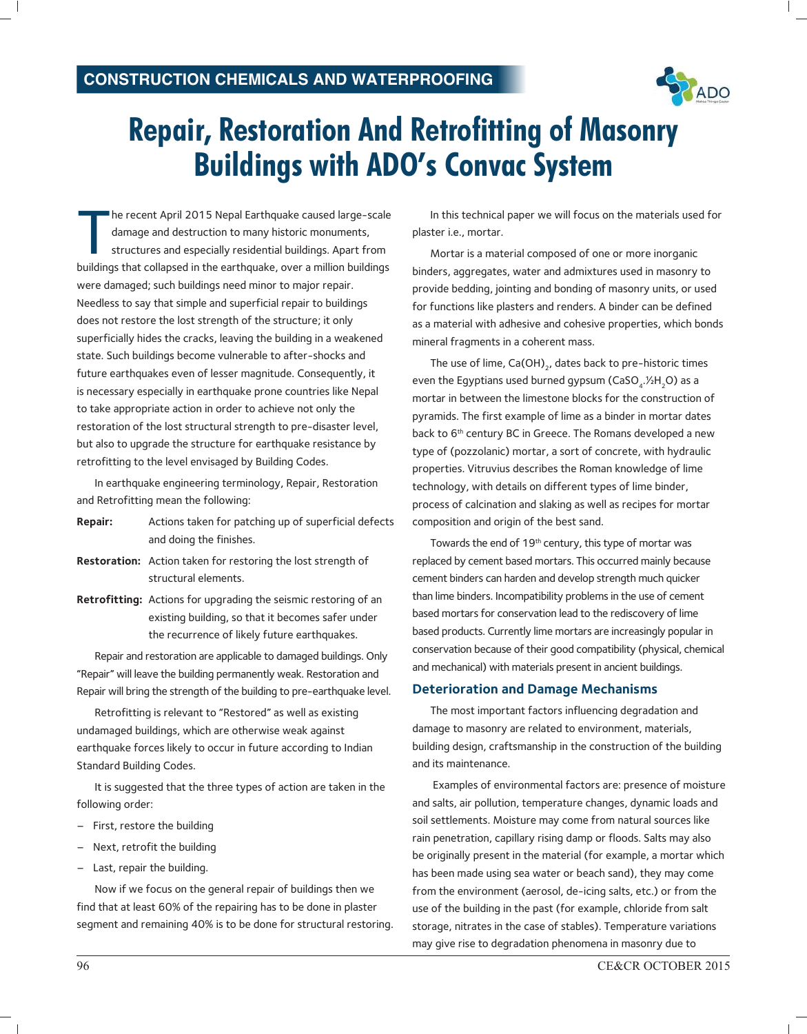

# **Repair, Restoration And Retrofitting of Masonry Buildings with ADO's Convac System**

The recent April 2015 Nepal Earthquake caused large-scale<br>damage and destruction to many historic monuments,<br>structures and especially residential buildings. Apart from<br>buildings that collapsed in the earthquake, over a mi he recent April 2015 Nepal Earthquake caused large-scale damage and destruction to many historic monuments, structures and especially residential buildings. Apart from were damaged; such buildings need minor to major repair. Needless to say that simple and superficial repair to buildings does not restore the lost strength of the structure; it only superficially hides the cracks, leaving the building in a weakened state. Such buildings become vulnerable to after-shocks and future earthquakes even of lesser magnitude. Consequently, it is necessary especially in earthquake prone countries like Nepal to take appropriate action in order to achieve not only the restoration of the lost structural strength to pre-disaster level, but also to upgrade the structure for earthquake resistance by retrofitting to the level envisaged by Building Codes.

In earthquake engineering terminology, Repair, Restoration and Retrofitting mean the following:

- **Repair:** Actions taken for patching up of superficial defects and doing the finishes.
- **Restoration:** Action taken for restoring the lost strength of structural elements.
- **Retrofitting:** Actions for upgrading the seismic restoring of an existing building, so that it becomes safer under the recurrence of likely future earthquakes.

Repair and restoration are applicable to damaged buildings. Only "Repair" will leave the building permanently weak. Restoration and Repair will bring the strength of the building to pre-earthquake level.

Retrofitting is relevant to "Restored" as well as existing undamaged buildings, which are otherwise weak against earthquake forces likely to occur in future according to Indian Standard Building Codes.

It is suggested that the three types of action are taken in the following order:

- First, restore the building
- Next, retrofit the building
- Last, repair the building.

Now if we focus on the general repair of buildings then we find that at least 60% of the repairing has to be done in plaster segment and remaining 40% is to be done for structural restoring.

In this technical paper we will focus on the materials used for plaster i.e., mortar.

Mortar is a material composed of one or more inorganic binders, aggregates, water and admixtures used in masonry to provide bedding, jointing and bonding of masonry units, or used for functions like plasters and renders. A binder can be defined as a material with adhesive and cohesive properties, which bonds mineral fragments in a coherent mass.

The use of lime,  $\text{Ca(OH)}_{2}$ , dates back to pre-historic times even the Egyptians used burned gypsum (CaSO $_4$ .1⁄2H $_2$ O) as a mortar in between the limestone blocks for the construction of pyramids. The first example of lime as a binder in mortar dates back to 6<sup>th</sup> century BC in Greece. The Romans developed a new type of (pozzolanic) mortar, a sort of concrete, with hydraulic properties. Vitruvius describes the Roman knowledge of lime technology, with details on different types of lime binder, process of calcination and slaking as well as recipes for mortar composition and origin of the best sand.

Towards the end of 19<sup>th</sup> century, this type of mortar was replaced by cement based mortars. This occurred mainly because cement binders can harden and develop strength much quicker than lime binders. Incompatibility problems in the use of cement based mortars for conservation lead to the rediscovery of lime based products. Currently lime mortars are increasingly popular in conservation because of their good compatibility (physical, chemical and mechanical) with materials present in ancient buildings.

#### **Deterioration and Damage Mechanisms**

The most important factors influencing degradation and damage to masonry are related to environment, materials, building design, craftsmanship in the construction of the building and its maintenance.

 Examples of environmental factors are: presence of moisture and salts, air pollution, temperature changes, dynamic loads and soil settlements. Moisture may come from natural sources like rain penetration, capillary rising damp or floods. Salts may also be originally present in the material (for example, a mortar which has been made using sea water or beach sand), they may come from the environment (aerosol, de-icing salts, etc.) or from the use of the building in the past (for example, chloride from salt storage, nitrates in the case of stables). Temperature variations may give rise to degradation phenomena in masonry due to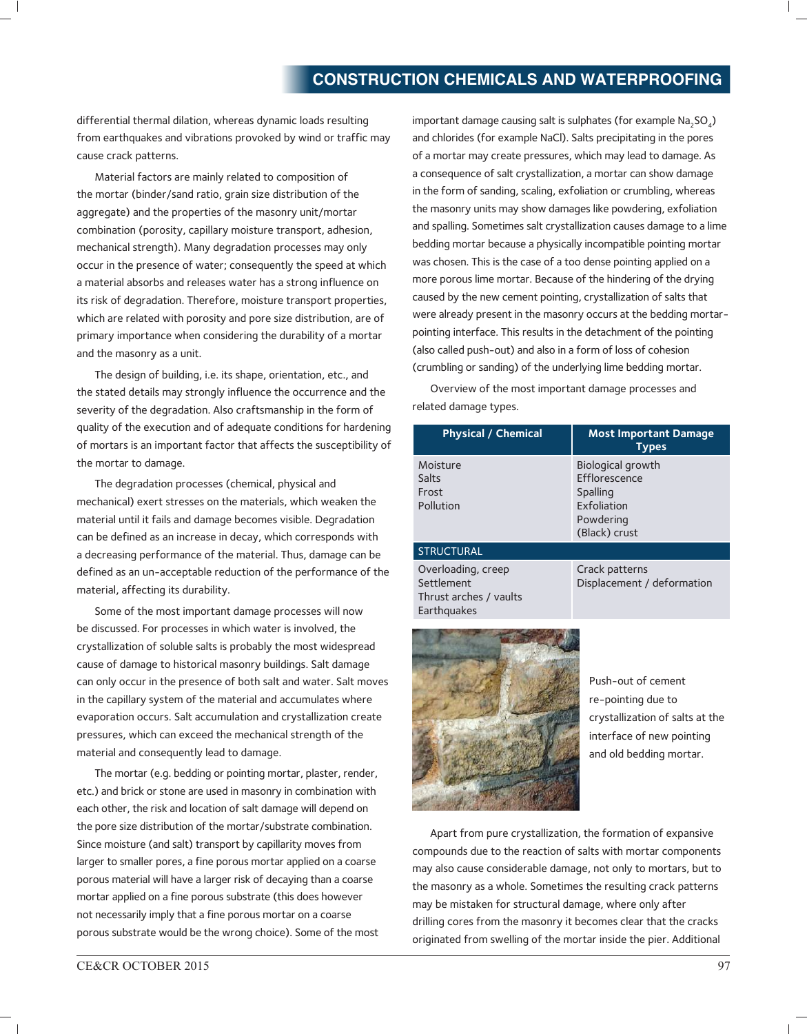## **CONSTRUCTION CHEMICALS AND WATERPROOFING**

differential thermal dilation, whereas dynamic loads resulting from earthquakes and vibrations provoked by wind or traffic may cause crack patterns.

Material factors are mainly related to composition of the mortar (binder/sand ratio, grain size distribution of the aggregate) and the properties of the masonry unit/mortar combination (porosity, capillary moisture transport, adhesion, mechanical strength). Many degradation processes may only occur in the presence of water; consequently the speed at which a material absorbs and releases water has a strong influence on its risk of degradation. Therefore, moisture transport properties, which are related with porosity and pore size distribution, are of primary importance when considering the durability of a mortar and the masonry as a unit.

The design of building, i.e. its shape, orientation, etc., and the stated details may strongly influence the occurrence and the severity of the degradation. Also craftsmanship in the form of quality of the execution and of adequate conditions for hardening of mortars is an important factor that affects the susceptibility of the mortar to damage.

The degradation processes (chemical, physical and mechanical) exert stresses on the materials, which weaken the material until it fails and damage becomes visible. Degradation can be defined as an increase in decay, which corresponds with a decreasing performance of the material. Thus, damage can be defined as an un-acceptable reduction of the performance of the material, affecting its durability.

Some of the most important damage processes will now be discussed. For processes in which water is involved, the crystallization of soluble salts is probably the most widespread cause of damage to historical masonry buildings. Salt damage can only occur in the presence of both salt and water. Salt moves in the capillary system of the material and accumulates where evaporation occurs. Salt accumulation and crystallization create pressures, which can exceed the mechanical strength of the material and consequently lead to damage.

The mortar (e.g. bedding or pointing mortar, plaster, render, etc.) and brick or stone are used in masonry in combination with each other, the risk and location of salt damage will depend on the pore size distribution of the mortar/substrate combination. Since moisture (and salt) transport by capillarity moves from larger to smaller pores, a fine porous mortar applied on a coarse porous material will have a larger risk of decaying than a coarse mortar applied on a fine porous substrate (this does however not necessarily imply that a fine porous mortar on a coarse porous substrate would be the wrong choice). Some of the most

important damage causing salt is sulphates (for example  $\operatorname{\sf Na}_2\operatorname{\sf SO}_4$ ) and chlorides (for example NaCl). Salts precipitating in the pores of a mortar may create pressures, which may lead to damage. As a consequence of salt crystallization, a mortar can show damage in the form of sanding, scaling, exfoliation or crumbling, whereas the masonry units may show damages like powdering, exfoliation and spalling. Sometimes salt crystallization causes damage to a lime bedding mortar because a physically incompatible pointing mortar was chosen. This is the case of a too dense pointing applied on a more porous lime mortar. Because of the hindering of the drying caused by the new cement pointing, crystallization of salts that were already present in the masonry occurs at the bedding mortarpointing interface. This results in the detachment of the pointing (also called push-out) and also in a form of loss of cohesion (crumbling or sanding) of the underlying lime bedding mortar.

Overview of the most important damage processes and related damage types.

| <b>Physical / Chemical</b>                                                | <b>Most Important Damage</b><br>Types                                                       |
|---------------------------------------------------------------------------|---------------------------------------------------------------------------------------------|
| Moisture<br>Salts<br>Frost<br>Pollution                                   | Biological growth<br>Efflorescence<br>Spalling<br>Exfoliation<br>Powdering<br>(Black) crust |
| <b>STRUCTURAL</b>                                                         |                                                                                             |
| Overloading, creep<br>Settlement<br>Thrust arches / vaults<br>Earthquakes | Crack patterns<br>Displacement / deformation                                                |
|                                                                           |                                                                                             |



Push-out of cement re-pointing due to crystallization of salts at the interface of new pointing and old bedding mortar.

Apart from pure crystallization, the formation of expansive compounds due to the reaction of salts with mortar components may also cause considerable damage, not only to mortars, but to the masonry as a whole. Sometimes the resulting crack patterns may be mistaken for structural damage, where only after drilling cores from the masonry it becomes clear that the cracks originated from swelling of the mortar inside the pier. Additional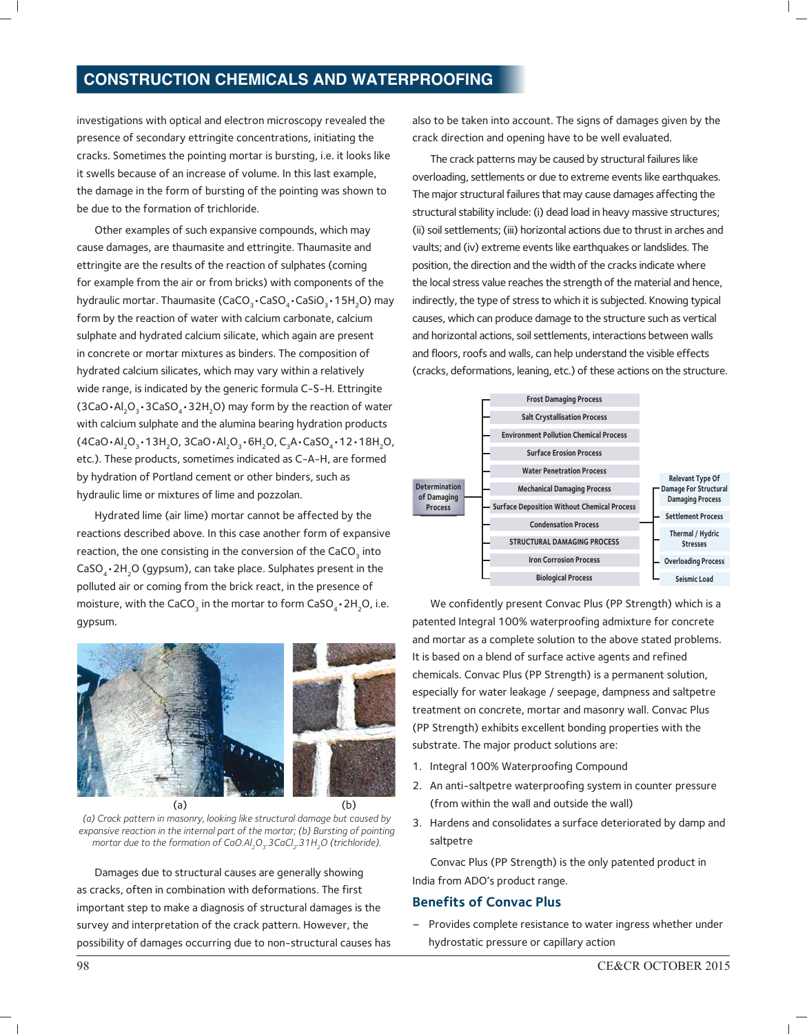## **CONSTRUCTION CHEMICALS AND WATERPROOFING**

investigations with optical and electron microscopy revealed the presence of secondary ettringite concentrations, initiating the cracks. Sometimes the pointing mortar is bursting, i.e. it looks like it swells because of an increase of volume. In this last example, the damage in the form of bursting of the pointing was shown to be due to the formation of trichloride.

Other examples of such expansive compounds, which may cause damages, are thaumasite and ettringite. Thaumasite and ettringite are the results of the reaction of sulphates (coming for example from the air or from bricks) with components of the hydraulic mortar. Thaumasite (CaCO $_3\cdot$ CaSO $_4\cdot$ CaSiO $_3\cdot$ 15H $_2$ O) may form by the reaction of water with calcium carbonate, calcium sulphate and hydrated calcium silicate, which again are present in concrete or mortar mixtures as binders. The composition of hydrated calcium silicates, which may vary within a relatively wide range, is indicated by the generic formula C-S-H. Ettringite  $(3CaO·Al<sub>2</sub>O<sub>3</sub>·3CaSO<sub>4</sub>·32H<sub>2</sub>O)$  may form by the reaction of water with calcium sulphate and the alumina bearing hydration products  $($ 4CaO $\cdot$ Al<sub>2</sub>O<sub>3</sub> $\cdot$ 13H<sub>2</sub>O, 3CaO $\cdot$ Al<sub>2</sub>O<sub>3</sub> $\cdot$ 6H<sub>2</sub>O, C<sub>3</sub>A $\cdot$ CaSO<sub>4</sub> $\cdot$ 12 $\cdot$ 18H<sub>2</sub>O, etc.). These products, sometimes indicated as C-A-H, are formed by hydration of Portland cement or other binders, such as hydraulic lime or mixtures of lime and pozzolan.

Hydrated lime (air lime) mortar cannot be affected by the reactions described above. In this case another form of expansive reaction, the one consisting in the conversion of the CaCO $_{_3}$  into  $\textsf{CaSO}_{\textup{4}}\textup{-}$  2H<sub>2</sub>O (gypsum), can take place. Sulphates present in the polluted air or coming from the brick react, in the presence of moisture, with the CaCO<sub>3</sub> in the mortar to form CaSO<sub>4</sub> $\cdot$ 2H<sub>2</sub>O, i.e. gypsum.



*(a) Crack pattern in masonry, looking like structural damage but caused by expansive reaction in the internal part of the mortar; (b) Bursting of pointing mortar due to the formation of CaO.Al2O<sup>3</sup> .3CaCl<sup>2</sup> .31H2O (trichloride).*

Damages due to structural causes are generally showing as cracks, often in combination with deformations. The first important step to make a diagnosis of structural damages is the survey and interpretation of the crack pattern. However, the possibility of damages occurring due to non-structural causes has also to be taken into account. The signs of damages given by the crack direction and opening have to be well evaluated.

The crack patterns may be caused by structural failures like overloading, settlements or due to extreme events like earthquakes. The major structural failures that may cause damages affecting the structural stability include: (i) dead load in heavy massive structures; (ii) soil settlements; (iii) horizontal actions due to thrust in arches and vaults; and (iv) extreme events like earthquakes or landslides. The position, the direction and the width of the cracks indicate where the local stress value reaches the strength of the material and hence, indirectly, the type of stress to which it is subjected. Knowing typical causes, which can produce damage to the structure such as vertical and horizontal actions, soil settlements, interactions between walls and floors, roofs and walls, can help understand the visible effects (cracks, deformations, leaning, etc.) of these actions on the structure.



We confidently present Convac Plus (PP Strength) which is a patented Integral 100% waterproofing admixture for concrete and mortar as a complete solution to the above stated problems. It is based on a blend of surface active agents and refined chemicals. Convac Plus (PP Strength) is a permanent solution, especially for water leakage / seepage, dampness and saltpetre treatment on concrete, mortar and masonry wall. Convac Plus (PP Strength) exhibits excellent bonding properties with the substrate. The major product solutions are:

- 1. Integral 100% Waterproofing Compound
- 2. An anti-saltpetre waterproofing system in counter pressure (from within the wall and outside the wall)
- 3. Hardens and consolidates a surface deteriorated by damp and saltpetre

Convac Plus (PP Strength) is the only patented product in India from ADO's product range.

#### **Benefits of Convac Plus**

– Provides complete resistance to water ingress whether under hydrostatic pressure or capillary action